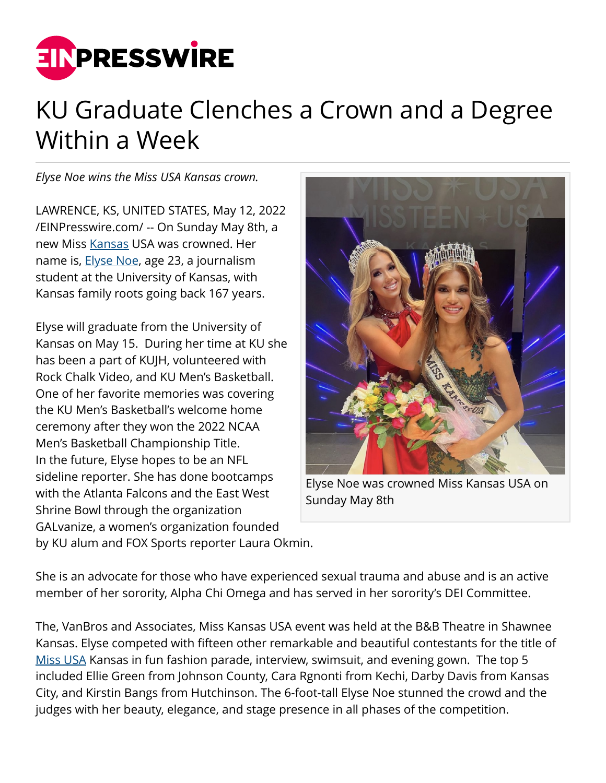

## KU Graduate Clenches a Crown and a Degree Within a Week

*Elyse Noe wins the Miss USA Kansas crown.*

LAWRENCE, KS, UNITED STATES, May 12, 2022 [/EINPresswire.com/](http://www.einpresswire.com) -- On Sunday May 8th, a new Miss [Kansas](http://misskansasusa.com/) USA was crowned. Her name is, **[Elyse Noe](https://www.facebook.com/MissKansasUSA)**, age 23, a journalism student at the University of Kansas, with Kansas family roots going back 167 years.

Elyse will graduate from the University of Kansas on May 15. During her time at KU she has been a part of KUJH, volunteered with Rock Chalk Video, and KU Men's Basketball. One of her favorite memories was covering the KU Men's Basketball's welcome home ceremony after they won the 2022 NCAA Men's Basketball Championship Title. In the future, Elyse hopes to be an NFL sideline reporter. She has done bootcamps with the Atlanta Falcons and the East West Shrine Bowl through the organization GALvanize, a women's organization founded



Elyse Noe was crowned Miss Kansas USA on Sunday May 8th

by KU alum and FOX Sports reporter Laura Okmin.

She is an advocate for those who have experienced sexual trauma and abuse and is an active member of her sorority, Alpha Chi Omega and has served in her sorority's DEI Committee.

The, VanBros and Associates, Miss Kansas USA event was held at the B&B Theatre in Shawnee Kansas. Elyse competed with fifteen other remarkable and beautiful contestants for the title of [Miss USA](http://misskansasusa.com/) Kansas in fun fashion parade, interview, swimsuit, and evening gown. The top 5 included Ellie Green from Johnson County, Cara Rgnonti from Kechi, Darby Davis from Kansas City, and Kirstin Bangs from Hutchinson. The 6-foot-tall Elyse Noe stunned the crowd and the judges with her beauty, elegance, and stage presence in all phases of the competition.